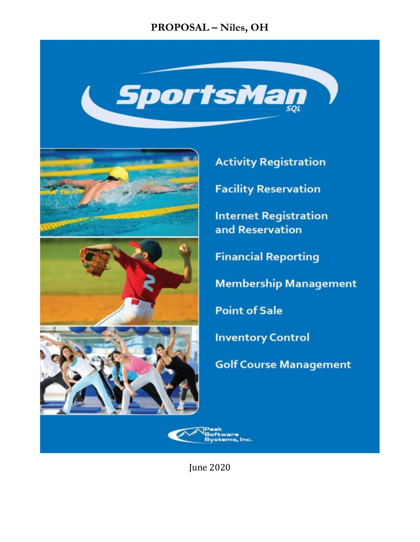### **PROPOSAL - Niles, OH**









**Activity Registration** 

**Facility Reservation** 

**Internet Registration** and Reservation

**Financial Reporting** 

**Membership Management** 

**Point of Sale** 

**Inventory Control** 

**Golf Course Management** 



**Iune 2020**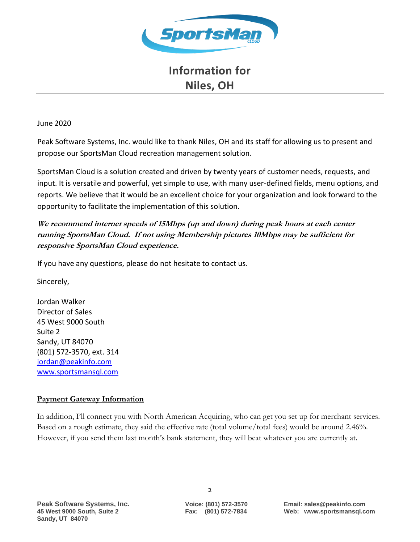![](_page_1_Picture_0.jpeg)

### **Information for Niles, OH**

#### June 2020

Peak Software Systems, Inc. would like to thank Niles, OH and its staff for allowing us to present and propose our SportsMan Cloud recreation management solution.

SportsMan Cloud is a solution created and driven by twenty years of customer needs, requests, and input. It is versatile and powerful, yet simple to use, with many user-defined fields, menu options, and reports. We believe that it would be an excellent choice for your organization and look forward to the opportunity to facilitate the implementation of this solution.

### **We recommend internet speeds of 15Mbps (up and down) during peak hours at each center running SportsMan Cloud. If not using Membership pictures 10Mbps may be sufficient for responsive SportsMan Cloud experience.**

If you have any questions, please do not hesitate to contact us.

Sincerely,

Jordan Walker Director of Sales 45 West 9000 South Suite 2 Sandy, UT 84070 (801) 572-3570, ext. 314 jordan@peakinfo.com [www.sportsmansql.com](http://www.sportsmansql.com/)

#### **Payment Gateway Information**

In addition, I'll connect you with North American Acquiring, who can get you set up for merchant services. Based on a rough estimate, they said the effective rate (total volume/total fees) would be around 2.46%. However, if you send them last month's bank statement, they will beat whatever you are currently at.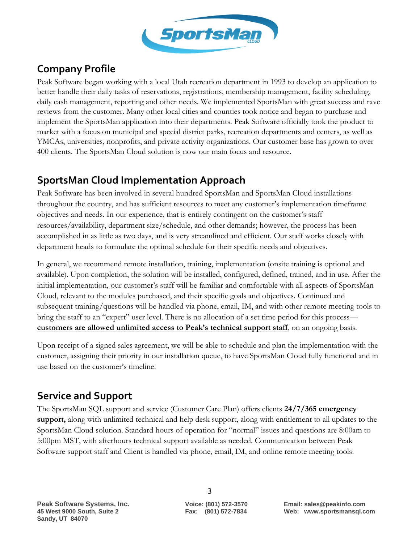![](_page_2_Picture_0.jpeg)

## **Company Profile**

Peak Software began working with a local Utah recreation department in 1993 to develop an application to better handle their daily tasks of reservations, registrations, membership management, facility scheduling, daily cash management, reporting and other needs. We implemented SportsMan with great success and rave reviews from the customer. Many other local cities and counties took notice and began to purchase and implement the SportsMan application into their departments. Peak Software officially took the product to market with a focus on municipal and special district parks, recreation departments and centers, as well as YMCAs, universities, nonprofits, and private activity organizations. Our customer base has grown to over 400 clients. The SportsMan Cloud solution is now our main focus and resource.

### **SportsMan Cloud Implementation Approach**

Peak Software has been involved in several hundred SportsMan and SportsMan Cloud installations throughout the country, and has sufficient resources to meet any customer's implementation timeframe objectives and needs. In our experience, that is entirely contingent on the customer's staff resources/availability, department size/schedule, and other demands; however, the process has been accomplished in as little as two days, and is very streamlined and efficient. Our staff works closely with department heads to formulate the optimal schedule for their specific needs and objectives.

In general, we recommend remote installation, training, implementation (onsite training is optional and available). Upon completion, the solution will be installed, configured, defined, trained, and in use. After the initial implementation, our customer's staff will be familiar and comfortable with all aspects of SportsMan Cloud, relevant to the modules purchased, and their specific goals and objectives. Continued and subsequent training/questions will be handled via phone, email, IM, and with other remote meeting tools to bring the staff to an "expert" user level. There is no allocation of a set time period for this process **customers are allowed unlimited access to Peak's technical support staff**, on an ongoing basis.

Upon receipt of a signed sales agreement, we will be able to schedule and plan the implementation with the customer, assigning their priority in our installation queue, to have SportsMan Cloud fully functional and in use based on the customer's timeline.

## **Service and Support**

The SportsMan SQL support and service (Customer Care Plan) offers clients **24/7/365 emergency support,** along with unlimited technical and help desk support, along with entitlement to all updates to the SportsMan Cloud solution. Standard hours of operation for "normal" issues and questions are 8:00am to 5:00pm MST, with afterhours technical support available as needed. Communication between Peak Software support staff and Client is handled via phone, email, IM, and online remote meeting tools.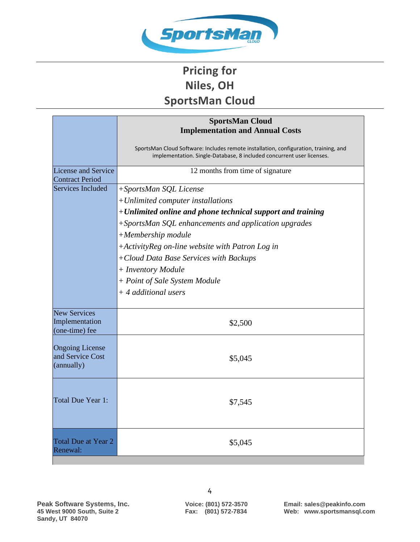![](_page_3_Picture_0.jpeg)

# **Pricing for Niles, OH SportsMan Cloud**

|                                                          | <b>SportsMan Cloud</b><br><b>Implementation and Annual Costs</b>                                                                                              |  |
|----------------------------------------------------------|---------------------------------------------------------------------------------------------------------------------------------------------------------------|--|
|                                                          | SportsMan Cloud Software: Includes remote installation, configuration, training, and<br>implementation. Single-Database, 8 included concurrent user licenses. |  |
| <b>License and Service</b><br><b>Contract Period</b>     | 12 months from time of signature                                                                                                                              |  |
| Services Included                                        | +SportsMan SQL License                                                                                                                                        |  |
|                                                          | +Unlimited computer installations                                                                                                                             |  |
|                                                          | +Unlimited online and phone technical support and training                                                                                                    |  |
|                                                          | +SportsMan SQL enhancements and application upgrades                                                                                                          |  |
|                                                          | +Membership module                                                                                                                                            |  |
|                                                          | +ActivityReg on-line website with Patron Log in                                                                                                               |  |
|                                                          | +Cloud Data Base Services with Backups                                                                                                                        |  |
|                                                          | + Inventory Module                                                                                                                                            |  |
|                                                          | + Point of Sale System Module                                                                                                                                 |  |
|                                                          | + 4 additional users                                                                                                                                          |  |
| <b>New Services</b><br>Implementation<br>(one-time) fee  | \$2,500                                                                                                                                                       |  |
| <b>Ongoing License</b><br>and Service Cost<br>(annually) | \$5,045                                                                                                                                                       |  |
| Total Due Year 1:                                        | \$7,545                                                                                                                                                       |  |
| <b>Total Due at Year 2</b><br>Renewal:                   | \$5,045                                                                                                                                                       |  |